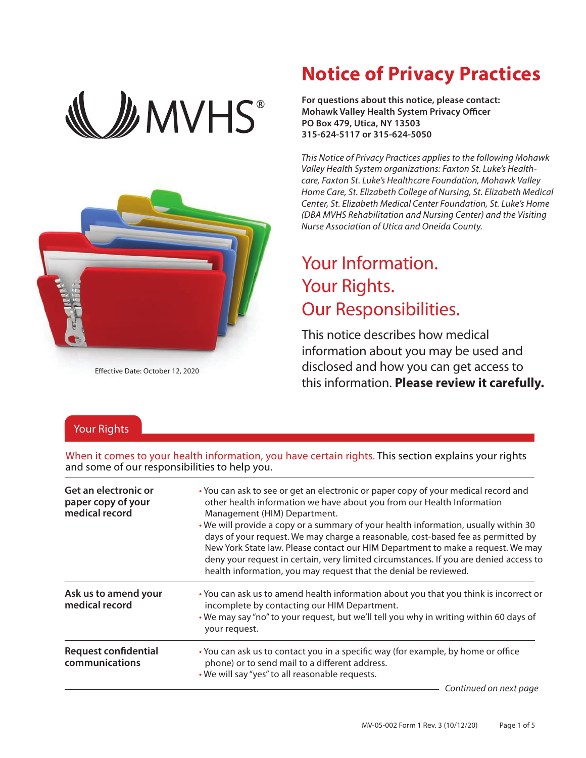



Effective Date: October 12, 2020

## **Notice of Privacy Practices**

**For questions about this notice, please contact: Mohawk Valley Health System Privacy Officer PO Box 479, Utica, NY 13503 315-624-5117 or 315-624-5050**

*This Notice of Privacy Practices applies to the following Mohawk Valley Health System organizations: Faxton St. Luke's Healthcare, Faxton St. Luke's Healthcare Foundation, Mohawk Valley Home Care, St. Elizabeth College of Nursing, St. Elizabeth Medical Center, St. Elizabeth Medical Center Foundation, St. Luke's Home (DBA MVHS Rehabilitation and Nursing Center) and the Visiting Nurse Association of Utica and Oneida County.*

# Your Information. Your Rights. Our Responsibilities.

This notice describes how medical information about you may be used and disclosed and how you can get access to this information. **Please review it carefully.**

### Your Rights

When it comes to your health information, you have certain rights. This section explains your rights and some of our responsibilities to help you.

| Get an electronic or<br>paper copy of your<br>medical record | • You can ask to see or get an electronic or paper copy of your medical record and<br>other health information we have about you from our Health Information<br>Management (HIM) Department.<br>• We will provide a copy or a summary of your health information, usually within 30<br>days of your request. We may charge a reasonable, cost-based fee as permitted by<br>New York State law. Please contact our HIM Department to make a request. We may<br>deny your request in certain, very limited circumstances. If you are denied access to<br>health information, you may request that the denial be reviewed. |
|--------------------------------------------------------------|-------------------------------------------------------------------------------------------------------------------------------------------------------------------------------------------------------------------------------------------------------------------------------------------------------------------------------------------------------------------------------------------------------------------------------------------------------------------------------------------------------------------------------------------------------------------------------------------------------------------------|
| Ask us to amend your<br>medical record                       | . You can ask us to amend health information about you that you think is incorrect or<br>incomplete by contacting our HIM Department.<br>• We may say "no" to your request, but we'll tell you why in writing within 60 days of<br>your request.                                                                                                                                                                                                                                                                                                                                                                        |
| <b>Request confidential</b><br>communications                | • You can ask us to contact you in a specific way (for example, by home or office<br>phone) or to send mail to a different address.<br>. We will say "yes" to all reasonable requests.                                                                                                                                                                                                                                                                                                                                                                                                                                  |
|                                                              | Continued on next page                                                                                                                                                                                                                                                                                                                                                                                                                                                                                                                                                                                                  |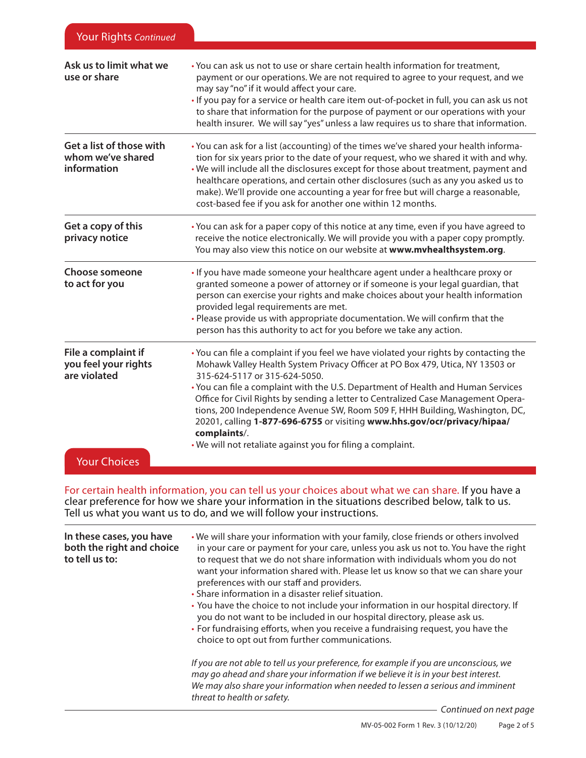| Ask us to limit what we<br>use or share                                            | • You can ask us not to use or share certain health information for treatment,<br>payment or our operations. We are not required to agree to your request, and we<br>may say "no" if it would affect your care.<br>. If you pay for a service or health care item out-of-pocket in full, you can ask us not<br>to share that information for the purpose of payment or our operations with your<br>health insurer. We will say "yes" unless a law requires us to share that information.                                                                                                                                    |
|------------------------------------------------------------------------------------|-----------------------------------------------------------------------------------------------------------------------------------------------------------------------------------------------------------------------------------------------------------------------------------------------------------------------------------------------------------------------------------------------------------------------------------------------------------------------------------------------------------------------------------------------------------------------------------------------------------------------------|
| Get a list of those with<br>whom we've shared<br>information                       | • You can ask for a list (accounting) of the times we've shared your health informa-<br>tion for six years prior to the date of your request, who we shared it with and why.<br>. We will include all the disclosures except for those about treatment, payment and<br>healthcare operations, and certain other disclosures (such as any you asked us to<br>make). We'll provide one accounting a year for free but will charge a reasonable,<br>cost-based fee if you ask for another one within 12 months.                                                                                                                |
| Get a copy of this<br>privacy notice                                               | • You can ask for a paper copy of this notice at any time, even if you have agreed to<br>receive the notice electronically. We will provide you with a paper copy promptly.<br>You may also view this notice on our website at www.mvhealthsystem.org.                                                                                                                                                                                                                                                                                                                                                                      |
| <b>Choose someone</b><br>to act for you                                            | • If you have made someone your healthcare agent under a healthcare proxy or<br>granted someone a power of attorney or if someone is your legal guardian, that<br>person can exercise your rights and make choices about your health information<br>provided legal requirements are met.<br>. Please provide us with appropriate documentation. We will confirm that the<br>person has this authority to act for you before we take any action.                                                                                                                                                                             |
| File a complaint if<br>you feel your rights<br>are violated<br><b>Your Choices</b> | • You can file a complaint if you feel we have violated your rights by contacting the<br>Mohawk Valley Health System Privacy Officer at PO Box 479, Utica, NY 13503 or<br>315-624-5117 or 315-624-5050.<br>• You can file a complaint with the U.S. Department of Health and Human Services<br>Office for Civil Rights by sending a letter to Centralized Case Management Opera-<br>tions, 200 Independence Avenue SW, Room 509 F, HHH Building, Washington, DC,<br>20201, calling 1-877-696-6755 or visiting www.hhs.gov/ocr/privacy/hipaa/<br>complaints/.<br>. We will not retaliate against you for filing a complaint. |

For certain health information, you can tell us your choices about what we can share. If you have a clear preference for how we share your information in the situations described below, talk to us. Tell us what you want us to do, and we will follow your instructions.

| In these cases, you have<br>both the right and choice<br>to tell us to: | . We will share your information with your family, close friends or others involved<br>in your care or payment for your care, unless you ask us not to. You have the right<br>to request that we do not share information with individuals whom you do not<br>want your information shared with. Please let us know so that we can share your<br>preferences with our staff and providers.<br>• Share information in a disaster relief situation.<br>• You have the choice to not include your information in our hospital directory. If<br>you do not want to be included in our hospital directory, please ask us.<br>• For fundraising efforts, when you receive a fundraising request, you have the<br>choice to opt out from further communications. |
|-------------------------------------------------------------------------|-----------------------------------------------------------------------------------------------------------------------------------------------------------------------------------------------------------------------------------------------------------------------------------------------------------------------------------------------------------------------------------------------------------------------------------------------------------------------------------------------------------------------------------------------------------------------------------------------------------------------------------------------------------------------------------------------------------------------------------------------------------|
|                                                                         | If you are not able to tell us your preference, for example if you are unconscious, we<br>may go ahead and share your information if we believe it is in your best interest.<br>We may also share your information when needed to lessen a serious and imminent<br>threat to health or safety.                                                                                                                                                                                                                                                                                                                                                                                                                                                            |

*Continued on next page*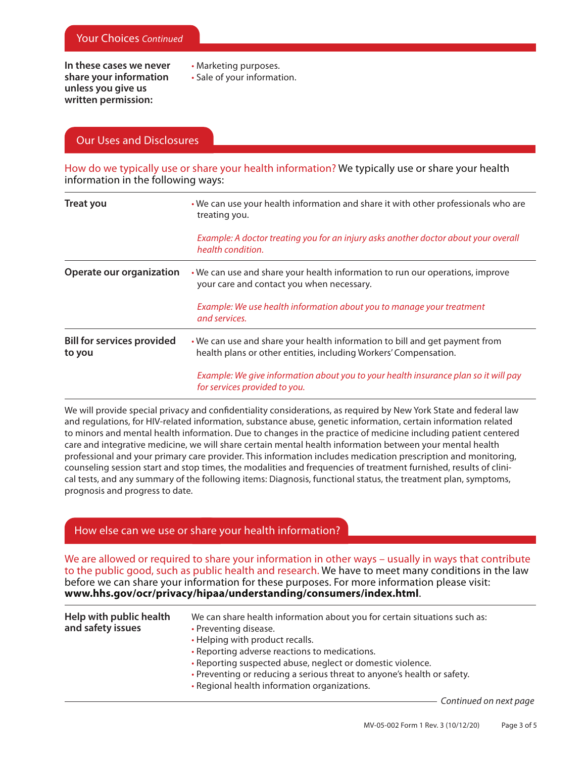**In these cases we never share your information unless you give us written permission:**

- Marketing purposes.
- Sale of your information.

### Our Uses and Disclosures

How do we typically use or share your health information? We typically use or share your health information in the following ways:

| <b>Treat you</b>                            | . We can use your health information and share it with other professionals who are<br>treating you.                                             |  |
|---------------------------------------------|-------------------------------------------------------------------------------------------------------------------------------------------------|--|
|                                             | Example: A doctor treating you for an injury asks another doctor about your overall<br>health condition.                                        |  |
| Operate our organization                    | . We can use and share your health information to run our operations, improve<br>your care and contact you when necessary.                      |  |
|                                             | Example: We use health information about you to manage your treatment<br>and services.                                                          |  |
| <b>Bill for services provided</b><br>to you | . We can use and share your health information to bill and get payment from<br>health plans or other entities, including Workers' Compensation. |  |
|                                             | Example: We give information about you to your health insurance plan so it will pay<br>for services provided to you.                            |  |

We will provide special privacy and confidentiality considerations, as required by New York State and federal law and regulations, for HIV-related information, substance abuse, genetic information, certain information related to minors and mental health information. Due to changes in the practice of medicine including patient centered care and integrative medicine, we will share certain mental health information between your mental health professional and your primary care provider. This information includes medication prescription and monitoring, counseling session start and stop times, the modalities and frequencies of treatment furnished, results of clinical tests, and any summary of the following items: Diagnosis, functional status, the treatment plan, symptoms, prognosis and progress to date.

#### How else can we use or share your health information?

We are allowed or required to share your information in other ways – usually in ways that contribute to the public good, such as public health and research. We have to meet many conditions in the law before we can share your information for these purposes. For more information please visit: **www.hhs.gov/ocr/privacy/hipaa/understanding/consumers/index.html**.

| Help with public health<br>and safety issues | We can share health information about you for certain situations such as:<br>• Preventing disease.<br>• Helping with product recalls.<br>• Reporting adverse reactions to medications.<br>• Reporting suspected abuse, neglect or domestic violence.<br>• Preventing or reducing a serious threat to anyone's health or safety.<br>• Regional health information organizations. |
|----------------------------------------------|---------------------------------------------------------------------------------------------------------------------------------------------------------------------------------------------------------------------------------------------------------------------------------------------------------------------------------------------------------------------------------|
|                                              |                                                                                                                                                                                                                                                                                                                                                                                 |

*Continued on next page*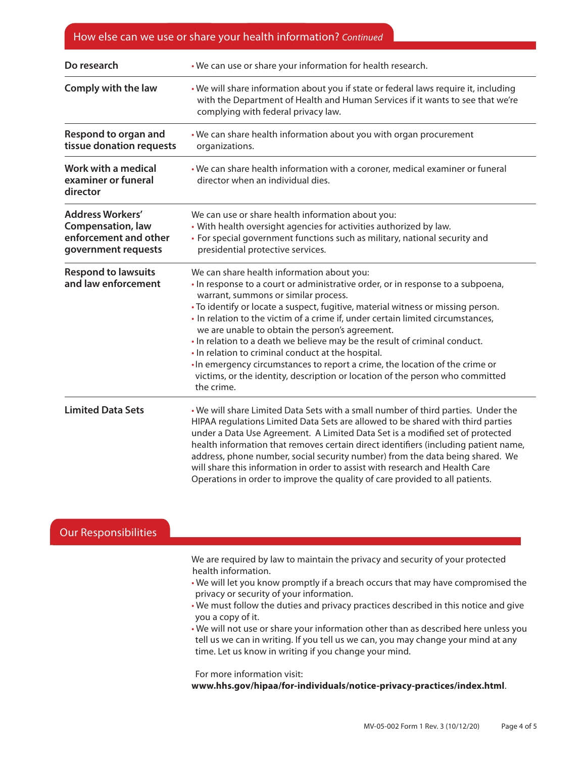## How else can we use or share your health information? *Continued*

| Do research                                                                                         | . We can use or share your information for health research.                                                                                                                                                                                                                                                                                                                                                                                                                                                                                                                                                                                                                                                        |
|-----------------------------------------------------------------------------------------------------|--------------------------------------------------------------------------------------------------------------------------------------------------------------------------------------------------------------------------------------------------------------------------------------------------------------------------------------------------------------------------------------------------------------------------------------------------------------------------------------------------------------------------------------------------------------------------------------------------------------------------------------------------------------------------------------------------------------------|
| Comply with the law                                                                                 | . We will share information about you if state or federal laws require it, including<br>with the Department of Health and Human Services if it wants to see that we're<br>complying with federal privacy law.                                                                                                                                                                                                                                                                                                                                                                                                                                                                                                      |
| Respond to organ and<br>tissue donation requests                                                    | . We can share health information about you with organ procurement<br>organizations.                                                                                                                                                                                                                                                                                                                                                                                                                                                                                                                                                                                                                               |
| Work with a medical<br>examiner or funeral<br>director                                              | • We can share health information with a coroner, medical examiner or funeral<br>director when an individual dies.                                                                                                                                                                                                                                                                                                                                                                                                                                                                                                                                                                                                 |
| <b>Address Workers'</b><br><b>Compensation, law</b><br>enforcement and other<br>government requests | We can use or share health information about you:<br>• With health oversight agencies for activities authorized by law.<br>• For special government functions such as military, national security and<br>presidential protective services.                                                                                                                                                                                                                                                                                                                                                                                                                                                                         |
| <b>Respond to lawsuits</b><br>and law enforcement                                                   | We can share health information about you:<br>. In response to a court or administrative order, or in response to a subpoena,<br>warrant, summons or similar process.<br>• To identify or locate a suspect, fugitive, material witness or missing person.<br>. In relation to the victim of a crime if, under certain limited circumstances,<br>we are unable to obtain the person's agreement.<br>. In relation to a death we believe may be the result of criminal conduct.<br>. In relation to criminal conduct at the hospital.<br>. In emergency circumstances to report a crime, the location of the crime or<br>victims, or the identity, description or location of the person who committed<br>the crime. |
| <b>Limited Data Sets</b>                                                                            | . We will share Limited Data Sets with a small number of third parties. Under the<br>HIPAA regulations Limited Data Sets are allowed to be shared with third parties<br>under a Data Use Agreement. A Limited Data Set is a modified set of protected<br>health information that removes certain direct identifiers (including patient name,<br>address, phone number, social security number) from the data being shared. We<br>will share this information in order to assist with research and Health Care<br>Operations in order to improve the quality of care provided to all patients.                                                                                                                      |

| <b>Our Responsibilities</b> |                                                                                                                                                                                                                                   |
|-----------------------------|-----------------------------------------------------------------------------------------------------------------------------------------------------------------------------------------------------------------------------------|
|                             | We are required by law to maintain the privacy and security of your protected<br>health information.                                                                                                                              |
|                             | . We will let you know promptly if a breach occurs that may have compromised the<br>privacy or security of your information.                                                                                                      |
|                             | . We must follow the duties and privacy practices described in this notice and give<br>you a copy of it.                                                                                                                          |
|                             | . We will not use or share your information other than as described here unless you<br>tell us we can in writing. If you tell us we can, you may change your mind at any<br>time. Let us know in writing if you change your mind. |
|                             | For more information visit:<br>www.hhs.gov/hipaa/for-individuals/notice-privacy-practices/index.html.                                                                                                                             |